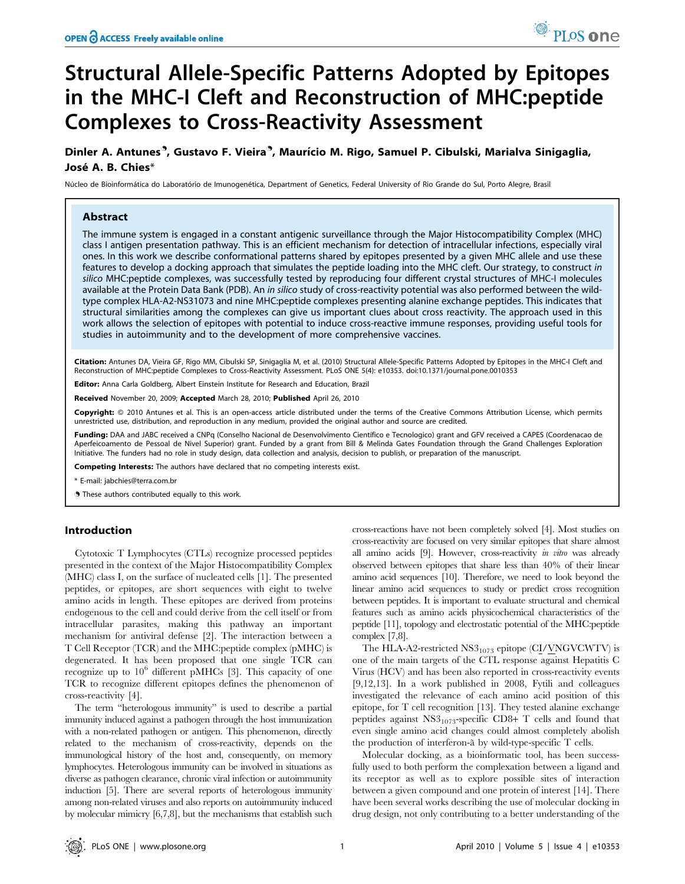# Structural Allele-Specific Patterns Adopted by Epitopes in the MHC-I Cleft and Reconstruction of MHC:peptide Complexes to Cross-Reactivity Assessment

Dinler A. Antunes<sup>9</sup>, Gustavo F. Vieira<sup>9</sup>, Maurício M. Rigo, Samuel P. Cibulski, Marialva Sinigaglia, José A. B. Chies\*

Núcleo de Bioinformática do Laboratório de Imunogenética, Department of Genetics, Federal University of Rio Grande do Sul, Porto Alegre, Brasil

## Abstract

The immune system is engaged in a constant antigenic surveillance through the Major Histocompatibility Complex (MHC) class I antigen presentation pathway. This is an efficient mechanism for detection of intracellular infections, especially viral ones. In this work we describe conformational patterns shared by epitopes presented by a given MHC allele and use these features to develop a docking approach that simulates the peptide loading into the MHC cleft. Our strategy, to construct in silico MHC:peptide complexes, was successfully tested by reproducing four different crystal structures of MHC-I molecules available at the Protein Data Bank (PDB). An in silico study of cross-reactivity potential was also performed between the wildtype complex HLA-A2-NS31073 and nine MHC:peptide complexes presenting alanine exchange peptides. This indicates that structural similarities among the complexes can give us important clues about cross reactivity. The approach used in this work allows the selection of epitopes with potential to induce cross-reactive immune responses, providing useful tools for studies in autoimmunity and to the development of more comprehensive vaccines.

Citation: Antunes DA, Vieira GF, Rigo MM, Cibulski SP, Sinigaglia M, et al. (2010) Structural Allele-Specific Patterns Adopted by Epitopes in the MHC-I Cleft and Reconstruction of MHC:peptide Complexes to Cross-Reactivity Assessment. PLoS ONE 5(4): e10353. doi:10.1371/journal.pone.0010353

Editor: Anna Carla Goldberg, Albert Einstein Institute for Research and Education, Brazil

Received November 20, 2009; Accepted March 28, 2010; Published April 26, 2010

Copyright: © 2010 Antunes et al. This is an open-access article distributed under the terms of the Creative Commons Attribution License, which permits unrestricted use, distribution, and reproduction in any medium, provided the original author and source are credited.

Funding: DAA and JABC received a CNPq (Conselho Nacional de Desenvolvimento Científico e Tecnologico) grant and GFV received a CAPES (Coordenacao de Aperfeicoamento de Pessoal de Nivel Superior) grant. Funded by a grant from Bill & Melinda Gates Foundation through the Grand Challenges Exploration Initiative. The funders had no role in study design, data collection and analysis, decision to publish, or preparation of the manuscript.

Competing Interests: The authors have declared that no competing interests exist.

\* E-mail: jabchies@terra.com.br

**.** These authors contributed equally to this work.

### Introduction

Cytotoxic T Lymphocytes (CTLs) recognize processed peptides presented in the context of the Major Histocompatibility Complex (MHC) class I, on the surface of nucleated cells [1]. The presented peptides, or epitopes, are short sequences with eight to twelve amino acids in length. These epitopes are derived from proteins endogenous to the cell and could derive from the cell itself or from intracellular parasites, making this pathway an important mechanism for antiviral defense [2]. The interaction between a T Cell Receptor (TCR) and the MHC:peptide complex (pMHC) is degenerated. It has been proposed that one single TCR can recognize up to  $10^6$  different pMHCs [3]. This capacity of one TCR to recognize different epitopes defines the phenomenon of cross-reactivity [4].

The term ''heterologous immunity'' is used to describe a partial immunity induced against a pathogen through the host immunization with a non-related pathogen or antigen. This phenomenon, directly related to the mechanism of cross-reactivity, depends on the immunological history of the host and, consequently, on memory lymphocytes. Heterologous immunity can be involved in situations as diverse as pathogen clearance, chronic viral infection or autoimmunity induction [5]. There are several reports of heterologous immunity among non-related viruses and also reports on autoimmunity induced by molecular mimicry [6,7,8], but the mechanisms that establish such cross-reactions have not been completely solved [4]. Most studies on cross-reactivity are focused on very similar epitopes that share almost all amino acids [9]. However, cross-reactivity in vitro was already observed between epitopes that share less than 40% of their linear amino acid sequences [10]. Therefore, we need to look beyond the linear amino acid sequences to study or predict cross recognition between peptides. It is important to evaluate structural and chemical features such as amino acids physicochemical characteristics of the peptide [11], topology and electrostatic potential of the MHC:peptide complex [7,8].

The HLA-A2-restricted  $\text{NS3}_{1073}$  epitope (CI/VNGVCWTV) is one of the main targets of the CTL response against Hepatitis C Virus (HCV) and has been also reported in cross-reactivity events [9,12,13]. In a work published in 2008, Fytili and colleagues investigated the relevance of each amino acid position of this epitope, for T cell recognition [13]. They tested alanine exchange peptides against  $NS3_{1073}$ -specific CD8+ T cells and found that even single amino acid changes could almost completely abolish the production of interferon- $\tilde{a}$  by wild-type-specific T cells.

Molecular docking, as a bioinformatic tool, has been successfully used to both perform the complexation between a ligand and its receptor as well as to explore possible sites of interaction between a given compound and one protein of interest [14]. There have been several works describing the use of molecular docking in drug design, not only contributing to a better understanding of the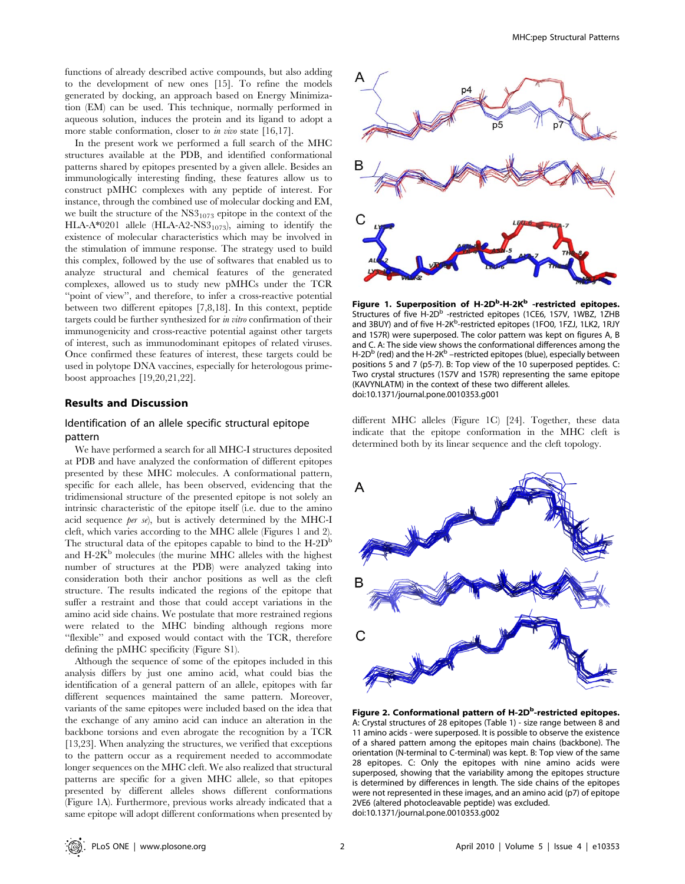functions of already described active compounds, but also adding to the development of new ones [15]. To refine the models generated by docking, an approach based on Energy Minimization (EM) can be used. This technique, normally performed in aqueous solution, induces the protein and its ligand to adopt a more stable conformation, closer to *in vivo* state [16,17].

In the present work we performed a full search of the MHC structures available at the PDB, and identified conformational patterns shared by epitopes presented by a given allele. Besides an immunologically interesting finding, these features allow us to construct pMHC complexes with any peptide of interest. For instance, through the combined use of molecular docking and EM, we built the structure of the  $NS3_{1073}$  epitope in the context of the HLA-A\*0201 allele (HLA-A2-NS3<sub>1073</sub>), aiming to identify the existence of molecular characteristics which may be involved in the stimulation of immune response. The strategy used to build this complex, followed by the use of softwares that enabled us to analyze structural and chemical features of the generated complexes, allowed us to study new pMHCs under the TCR ''point of view'', and therefore, to infer a cross-reactive potential between two different epitopes [7,8,18]. In this context, peptide targets could be further synthesized for in vitro confirmation of their immunogenicity and cross-reactive potential against other targets of interest, such as immunodominant epitopes of related viruses. Once confirmed these features of interest, these targets could be used in polytope DNA vaccines, especially for heterologous primeboost approaches [19,20,21,22].

## Results and Discussion

## Identification of an allele specific structural epitope pattern

We have performed a search for all MHC-I structures deposited at PDB and have analyzed the conformation of different epitopes presented by these MHC molecules. A conformational pattern, specific for each allele, has been observed, evidencing that the tridimensional structure of the presented epitope is not solely an intrinsic characteristic of the epitope itself (i.e. due to the amino acid sequence per se), but is actively determined by the MHC-I cleft, which varies according to the MHC allele (Figures 1 and 2). The structural data of the epitopes capable to bind to the  $H\text{-}2D^b$ and  $H-2K^b$  molecules (the murine MHC alleles with the highest number of structures at the PDB) were analyzed taking into consideration both their anchor positions as well as the cleft structure. The results indicated the regions of the epitope that suffer a restraint and those that could accept variations in the amino acid side chains. We postulate that more restrained regions were related to the MHC binding although regions more ''flexible'' and exposed would contact with the TCR, therefore defining the pMHC specificity (Figure S1).

Although the sequence of some of the epitopes included in this analysis differs by just one amino acid, what could bias the identification of a general pattern of an allele, epitopes with far different sequences maintained the same pattern. Moreover, variants of the same epitopes were included based on the idea that the exchange of any amino acid can induce an alteration in the backbone torsions and even abrogate the recognition by a TCR [13,23]. When analyzing the structures, we verified that exceptions to the pattern occur as a requirement needed to accommodate longer sequences on the MHC cleft. We also realized that structural patterns are specific for a given MHC allele, so that epitopes presented by different alleles shows different conformations (Figure 1A). Furthermore, previous works already indicated that a same epitope will adopt different conformations when presented by



Figure 1. Superposition of H-2D<sup>b</sup>-H-2K<sup>b</sup> -restricted epitopes. Structures of five H-2D<sup>b</sup> -restricted epitopes (1CE6, 1S7V, 1WBZ, 1ZHB and 3BUY) and of five H-2K<sup>b</sup>-restricted epitopes (1FO0, 1FZJ, 1LK2, 1RJY and 1S7R) were superposed. The color pattern was kept on figures A, B and C. A: The side view shows the conformational differences among the H-2D<sup>b</sup> (red) and the H-2K<sup>b</sup> –restricted epitopes (blue), especially between positions 5 and 7 (p5-7). B: Top view of the 10 superposed peptides. C: Two crystal structures (1S7V and 1S7R) representing the same epitope (KAVYNLATM) in the context of these two different alleles. doi:10.1371/journal.pone.0010353.g001

different MHC alleles (Figure 1C) [24]. Together, these data indicate that the epitope conformation in the MHC cleft is determined both by its linear sequence and the cleft topology.



Figure 2. Conformational pattern of H-2D<sup>b</sup>-restricted epitopes. A: Crystal structures of 28 epitopes (Table 1) - size range between 8 and 11 amino acids - were superposed. It is possible to observe the existence of a shared pattern among the epitopes main chains (backbone). The orientation (N-terminal to C-terminal) was kept. B: Top view of the same 28 epitopes. C: Only the epitopes with nine amino acids were superposed, showing that the variability among the epitopes structure is determined by differences in length. The side chains of the epitopes were not represented in these images, and an amino acid (p7) of epitope 2VE6 (altered photocleavable peptide) was excluded. doi:10.1371/journal.pone.0010353.g002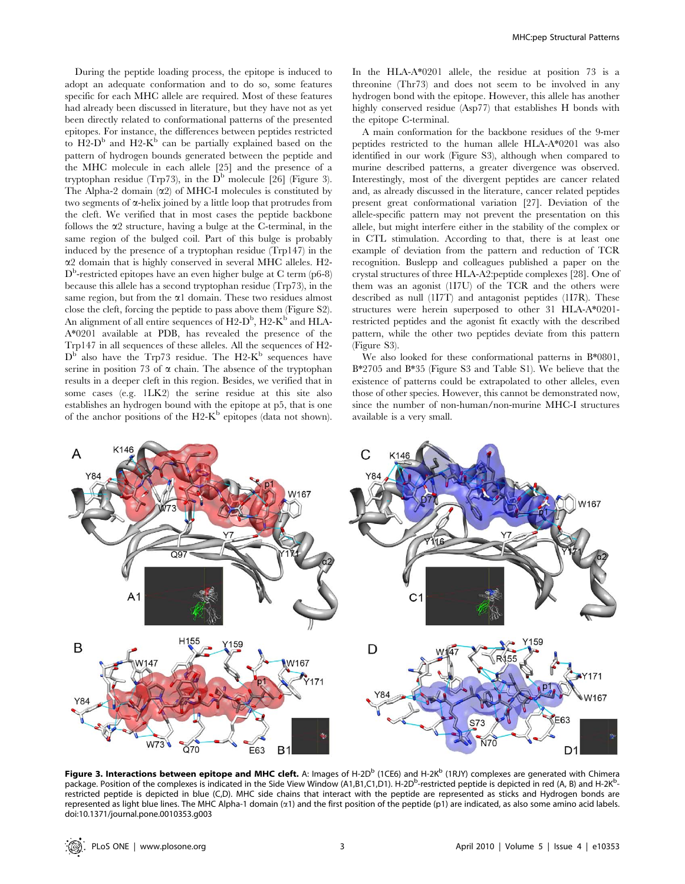During the peptide loading process, the epitope is induced to adopt an adequate conformation and to do so, some features specific for each MHC allele are required. Most of these features had already been discussed in literature, but they have not as yet been directly related to conformational patterns of the presented epitopes. For instance, the differences between peptides restricted to  $H_2-D^b$  and  $H_2-K^b$  can be partially explained based on the pattern of hydrogen bounds generated between the peptide and the MHC molecule in each allele [25] and the presence of a tryptophan residue (Trp73), in the  $D^b$  molecule [26] (Figure 3). The Alpha-2 domain  $(\alpha 2)$  of MHC-I molecules is constituted by two segments of  $\alpha$ -helix joined by a little loop that protrudes from the cleft. We verified that in most cases the peptide backbone follows the  $\alpha$ 2 structure, having a bulge at the C-terminal, in the same region of the bulged coil. Part of this bulge is probably induced by the presence of a tryptophan residue (Trp147) in the  $\alpha$ 2 domain that is highly conserved in several MHC alleles. H2- $D^b$ -restricted epitopes have an even higher bulge at C term (p6-8) because this allele has a second tryptophan residue (Trp73), in the same region, but from the  $\alpha$ 1 domain. These two residues almost close the cleft, forcing the peptide to pass above them (Figure S2). An alignment of all entire sequences of  $H2-D^b$ ,  $H2-K^b$  and  $HLA-$ A\*0201 available at PDB, has revealed the presence of the Trp147 in all sequences of these alleles. All the sequences of H2-  $D<sup>b</sup>$  also have the Trp73 residue. The H2- $K<sup>b</sup>$  sequences have serine in position 73 of  $\alpha$  chain. The absence of the tryptophan results in a deeper cleft in this region. Besides, we verified that in some cases (e.g. 1LK2) the serine residue at this site also establishes an hydrogen bound with the epitope at p5, that is one of the anchor positions of the  $H2-K^b$  epitopes (data not shown). In the HLA-A\*0201 allele, the residue at position 73 is a threonine (Thr73) and does not seem to be involved in any hydrogen bond with the epitope. However, this allele has another highly conserved residue (Asp77) that establishes H bonds with the epitope C-terminal.

A main conformation for the backbone residues of the 9-mer peptides restricted to the human allele HLA-A\*0201 was also identified in our work (Figure S3), although when compared to murine described patterns, a greater divergence was observed. Interestingly, most of the divergent peptides are cancer related and, as already discussed in the literature, cancer related peptides present great conformational variation [27]. Deviation of the allele-specific pattern may not prevent the presentation on this allele, but might interfere either in the stability of the complex or in CTL stimulation. According to that, there is at least one example of deviation from the pattern and reduction of TCR recognition. Buslepp and colleagues published a paper on the crystal structures of three HLA-A2:peptide complexes [28]. One of them was an agonist (1I7U) of the TCR and the others were described as null (1I7T) and antagonist peptides (1I7R). These structures were herein superposed to other 31 HLA-A\*0201 restricted peptides and the agonist fit exactly with the described pattern, while the other two peptides deviate from this pattern (Figure S3).

We also looked for these conformational patterns in B\*0801, B\*2705 and B\*35 (Figure S3 and Table S1). We believe that the existence of patterns could be extrapolated to other alleles, even those of other species. However, this cannot be demonstrated now, since the number of non-human/non-murine MHC-I structures available is a very small.



Figure 3. Interactions between epitope and MHC cleft. A: Images of H-2D<sup>b</sup> (1CE6) and H-2K<sup>b</sup> (1RJY) complexes are generated with Chimera package. Position of the complexes is indicated in the Side View Window (A1,B1,C1,D1). H-2D<sup>b</sup>-restricted peptide is depicted in red (A, B) and H-2K<sup>b</sup>restricted peptide is depicted in blue (C,D). MHC side chains that interact with the peptide are represented as sticks and Hydrogen bonds are represented as light blue lines. The MHC Alpha-1 domain (a1) and the first position of the peptide (p1) are indicated, as also some amino acid labels. doi:10.1371/journal.pone.0010353.g003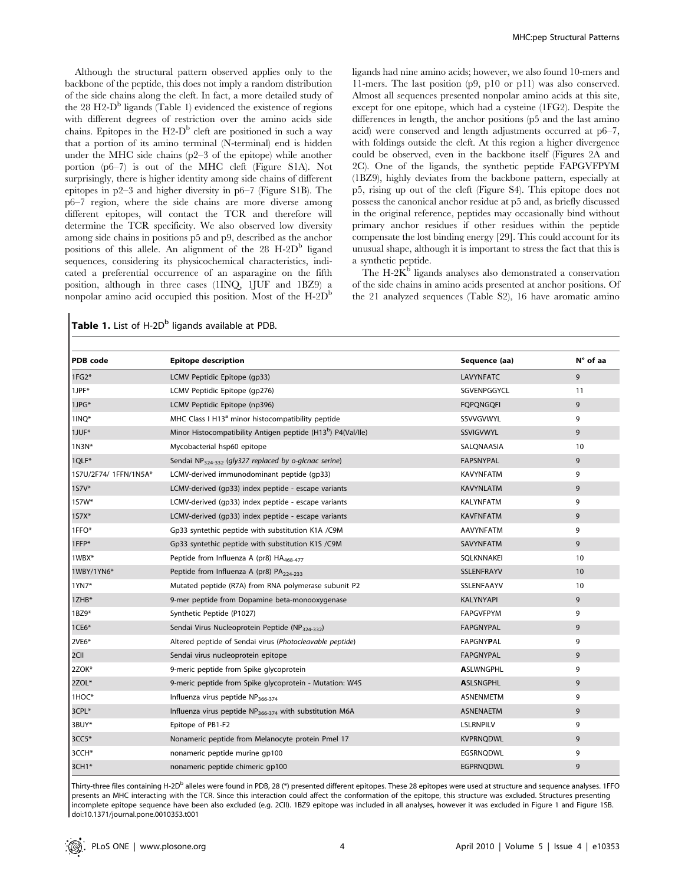Although the structural pattern observed applies only to the backbone of the peptide, this does not imply a random distribution of the side chains along the cleft. In fact, a more detailed study of the  $28$  H2-D<sup>b</sup> ligands (Table 1) evidenced the existence of regions with different degrees of restriction over the amino acids side chains. Epitopes in the  $H2-D^b$  cleft are positioned in such a way that a portion of its amino terminal (N-terminal) end is hidden under the MHC side chains (p2–3 of the epitope) while another portion (p6–7) is out of the MHC cleft (Figure S1A). Not surprisingly, there is higher identity among side chains of different epitopes in p2–3 and higher diversity in p6–7 (Figure S1B). The p6–7 region, where the side chains are more diverse among different epitopes, will contact the TCR and therefore will determine the TCR specificity. We also observed low diversity among side chains in positions p5 and p9, described as the anchor positions of this allele. An alignment of the  $28$  H- $2D<sup>b</sup>$  ligand sequences, considering its physicochemical characteristics, indicated a preferential occurrence of an asparagine on the fifth position, although in three cases (1INQ, 1JUF and 1BZ9) a nonpolar amino acid occupied this position. Most of the  $H-2D<sup>b</sup>$ 

ligands had nine amino acids; however, we also found 10-mers and 11-mers. The last position (p9, p10 or p11) was also conserved. Almost all sequences presented nonpolar amino acids at this site, except for one epitope, which had a cysteine (1FG2). Despite the differences in length, the anchor positions (p5 and the last amino acid) were conserved and length adjustments occurred at p6–7, with foldings outside the cleft. At this region a higher divergence could be observed, even in the backbone itself (Figures 2A and 2C). One of the ligands, the synthetic peptide FAPGVFPYM (1BZ9), highly deviates from the backbone pattern, especially at p5, rising up out of the cleft (Figure S4). This epitope does not possess the canonical anchor residue at p5 and, as briefly discussed in the original reference, peptides may occasionally bind without primary anchor residues if other residues within the peptide compensate the lost binding energy [29]. This could account for its unusual shape, although it is important to stress the fact that this is a synthetic peptide.

The  $H-2K^b$  ligands analyses also demonstrated a conservation of the side chains in amino acids presented at anchor positions. Of the 21 analyzed sequences (Table S2), 16 have aromatic amino

| PDB code              | <b>Epitope description</b>                                               | Sequence (aa)     | N° of aa<br>9 |  |
|-----------------------|--------------------------------------------------------------------------|-------------------|---------------|--|
| $1FG2*$               | LCMV Peptidic Epitope (qp33)                                             | <b>LAVYNFATC</b>  |               |  |
| 1JPF*                 | LCMV Peptidic Epitope (qp276)                                            | SGVENPGGYCL       | 11            |  |
| $1$ JP $G^*$          | LCMV Peptidic Epitope (np396)                                            | <b>FQPQNGQFI</b>  | 9             |  |
| $11NO*$               | MHC Class I H13 <sup>ª</sup> minor histocompatibility peptide            | SSVVGVWYL         | 9             |  |
| 1JUF*                 | Minor Histocompatibility Antigen peptide (H13 <sup>b</sup> ) P4(Val/lle) | SSVIGVWYL         | 9             |  |
| $1N3N*$               | Mycobacterial hsp60 epitope                                              | SALQNAASIA        | 10            |  |
| 1QLF*                 | Sendai NP <sub>324-332</sub> (gly327 replaced by o-glcnac serine)        | <b>FAPSNYPAL</b>  | 9             |  |
| 1S7U/2F74/ 1FFN/1N5A* | LCMV-derived immunodominant peptide (qp33)                               | <b>KAVYNFATM</b>  | 9             |  |
| $157V^*$              | LCMV-derived (qp33) index peptide - escape variants                      | <b>KAVYNLATM</b>  | 9             |  |
| $157W*$               | LCMV-derived (qp33) index peptide - escape variants                      | KALYNFATM         | 9             |  |
| $157X*$               | LCMV-derived (qp33) index peptide - escape variants                      | <b>KAVFNFATM</b>  | 9             |  |
| 1FFO*                 | Gp33 syntethic peptide with substitution K1A /C9M                        | <b>AAVYNFATM</b>  | 9             |  |
| 1FFP*                 | Gp33 syntethic peptide with substitution K1S /C9M                        | SAVYNFATM         | 9             |  |
| 1WBX*                 | Peptide from Influenza A (pr8) HA <sub>468-477</sub>                     | SQLKNNAKEI        | 10            |  |
| 1WBY/1YN6*            | Peptide from Influenza A (pr8) PA <sub>224-233</sub>                     | <b>SSLENFRAYV</b> | 10            |  |
| $1YN7*$               | Mutated peptide (R7A) from RNA polymerase subunit P2                     | SSLENFAAYV        | 10            |  |
| 1ZHB*                 | 9-mer peptide from Dopamine beta-monooxygenase                           | <b>KALYNYAPI</b>  | 9             |  |
| $1BZ9*$               | Synthetic Peptide (P1027)                                                | <b>FAPGVFPYM</b>  | 9             |  |
| $1CE6*$               | Sendai Virus Nucleoprotein Peptide (NP324-332)                           | <b>FAPGNYPAL</b>  | 9             |  |
| 2VE6*                 | Altered peptide of Sendai virus (Photocleavable peptide)                 | <b>FAPGNYPAL</b>  | 9             |  |
| 2CII                  | Sendai virus nucleoprotein epitope                                       | FAPGNYPAL         | 9             |  |
| 2ZOK*                 | 9-meric peptide from Spike glycoprotein                                  | <b>ASLWNGPHL</b>  | 9             |  |
| 2ZOL*                 | 9-meric peptide from Spike glycoprotein - Mutation: W4S                  | <b>ASLSNGPHL</b>  | 9             |  |
| 1HOC*                 | Influenza virus peptide $NP366-374$                                      | <b>ASNENMETM</b>  | 9             |  |
| 3CPL*                 | Influenza virus peptide $NP366-374$ with substitution M6A                | <b>ASNENAETM</b>  | 9             |  |
| 3BUY*                 | Epitope of PB1-F2                                                        | <b>LSLRNPILV</b>  | 9             |  |
| 3CC5*                 | Nonameric peptide from Melanocyte protein Pmel 17                        | <b>KVPRNQDWL</b>  | 9             |  |
| 3CCH*                 | nonameric peptide murine gp100                                           | EGSRNQDWL         | 9             |  |
| 3CH1*                 | nonameric peptide chimeric gp100                                         | <b>EGPRNQDWL</b>  | 9             |  |

Table 1. List of H-2D<sup>b</sup> ligands available at PDB.

Thirty-three files containing H-2D<sup>b</sup> alleles were found in PDB, 28 (\*) presented different epitopes. These 28 epitopes were used at structure and sequence analyses. 1FFO presents an MHC interacting with the TCR. Since this interaction could affect the conformation of the epitope, this structure was excluded. Structures presenting incomplete epitope sequence have been also excluded (e.g. 2CII). 1BZ9 epitope was included in all analyses, however it was excluded in Figure 1 and Figure 1SB. doi:10.1371/journal.pone.0010353.t001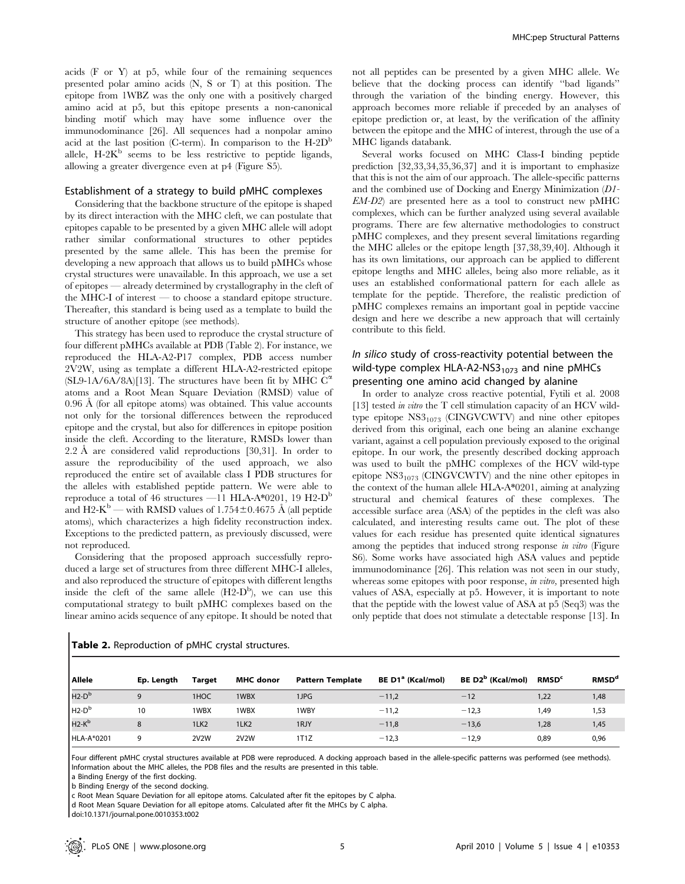acids (F or Y) at p5, while four of the remaining sequences presented polar amino acids (N, S or T) at this position. The epitope from 1WBZ was the only one with a positively charged amino acid at p5, but this epitope presents a non-canonical binding motif which may have some influence over the immunodominance [26]. All sequences had a nonpolar amino acid at the last position (C-term). In comparison to the  $H-2D<sup>b</sup>$ allele,  $H-2K^b$  seems to be less restrictive to peptide ligands, allowing a greater divergence even at p4 (Figure S5).

#### Establishment of a strategy to build pMHC compIexes

Considering that the backbone structure of the epitope is shaped by its direct interaction with the MHC cleft, we can postulate that epitopes capable to be presented by a given MHC allele will adopt rather similar conformational structures to other peptides presented by the same allele. This has been the premise for developing a new approach that allows us to build pMHCs whose crystal structures were unavailable. In this approach, we use a set of epitopes — already determined by crystallography in the cleft of the MHC-I of interest — to choose a standard epitope structure. Thereafter, this standard is being used as a template to build the structure of another epitope (see methods).

This strategy has been used to reproduce the crystal structure of four different pMHCs available at PDB (Table 2). For instance, we reproduced the HLA-A2-P17 complex, PDB access number 2V2W, using as template a different HLA-A2-restricted epitope (SL9-1A/6A/8A)[13]. The structures have been fit by MHC  $C^{\alpha}$ atoms and a Root Mean Square Deviation (RMSD) value of  $0.96 \text{ Å}$  (for all epitope atoms) was obtained. This value accounts not only for the torsional differences between the reproduced epitope and the crystal, but also for differences in epitope position inside the cleft. According to the literature, RMSDs lower than 2.2 Å are considered valid reproductions  $[30,31]$ . In order to assure the reproducibility of the used approach, we also reproduced the entire set of available class I PDB structures for the alleles with established peptide pattern. We were able to reproduce a total of 46 structures  $-11$  HLA-A\*0201, 19 H2-D<sup>b</sup> and H2- $K^b$  — with RMSD values of 1.754 $\pm$ 0.4675 Å (all peptide atoms), which characterizes a high fidelity reconstruction index. Exceptions to the predicted pattern, as previously discussed, were not reproduced.

Considering that the proposed approach successfully reproduced a large set of structures from three different MHC-I alleles, and also reproduced the structure of epitopes with different lengths inside the cleft of the same allele  $(H2-D<sup>b</sup>)$ , we can use this computational strategy to built pMHC complexes based on the linear amino acids sequence of any epitope. It should be noted that not all peptides can be presented by a given MHC allele. We believe that the docking process can identify ''bad ligands'' through the variation of the binding energy. However, this approach becomes more reliable if preceded by an analyses of epitope prediction or, at least, by the verification of the affinity between the epitope and the MHC of interest, through the use of a MHC ligands databank.

Several works focused on MHC Class-I binding peptide prediction [32,33,34,35,36,37] and it is important to emphasize that this is not the aim of our approach. The allele-specific patterns and the combined use of Docking and Energy Minimization (D1- EM-D2) are presented here as a tool to construct new pMHC complexes, which can be further analyzed using several available programs. There are few alternative methodologies to construct pMHC complexes, and they present several limitations regarding the MHC alleles or the epitope length [37,38,39,40]. Although it has its own limitations, our approach can be applied to different epitope lengths and MHC alleles, being also more reliable, as it uses an established conformational pattern for each allele as template for the peptide. Therefore, the realistic prediction of pMHC complexes remains an important goal in peptide vaccine design and here we describe a new approach that will certainly contribute to this field.

# In silico study of cross-reactivity potential between the wild-type complex HLA-A2-NS3 $_{1073}$  and nine pMHCs presenting one amino acid changed by alanine

In order to analyze cross reactive potential, Fytili et al. 2008 [13] tested in vitro the T cell stimulation capacity of an HCV wildtype epitope  $\text{NS3}_{1073}$  (CINGVCWTV) and nine other epitopes derived from this original, each one being an alanine exchange variant, against a cell population previously exposed to the original epitope. In our work, the presently described docking approach was used to built the pMHC complexes of the HCV wild-type epitope NS31073 (CINGVCWTV) and the nine other epitopes in the context of the human allele HLA-A\*0201, aiming at analyzing structural and chemical features of these complexes. The accessible surface area (ASA) of the peptides in the cleft was also calculated, and interesting results came out. The plot of these values for each residue has presented quite identical signatures among the peptides that induced strong response in vitro (Figure S6). Some works have associated high ASA values and peptide immunodominance [26]. This relation was not seen in our study, whereas some epitopes with poor response, in vitro, presented high values of ASA, especially at p5. However, it is important to note that the peptide with the lowest value of ASA at p5 (Seq3) was the only peptide that does not stimulate a detectable response [13]. In

| Allele     | Ep. Length | <b>Target</b>    | <b>MHC</b> donor | <b>Pattern Template</b> | BE D1 <sup>ª</sup> (Kcal/mol) | BE D2 <sup>b</sup> (Kcal/mol) | RMSD <sup>c</sup> | <b>RMSD<sup>d</sup></b> |
|------------|------------|------------------|------------------|-------------------------|-------------------------------|-------------------------------|-------------------|-------------------------|
| $H2-D^b$   |            | 1HOC             | 1WBX             | 1JPG                    | $-11,2$                       | $-12$                         | 1,22              | 1,48                    |
| $H2-D^b$   | 10         | 1WBX             | 1WBX             | 1WBY                    | $-11,2$                       | $-12.3$                       | 1,49              | 1,53                    |
| $H2-K^b$   |            | 1LK <sub>2</sub> | 1LK <sub>2</sub> | 1RJY                    | $-11,8$                       | $-13.6$                       | 1,28              | 1,45                    |
| HLA-A*0201 | 9          | 2V2W             | <b>2V2W</b>      | 1T1Z                    | $-12,3$                       | $-12.9$                       | 0,89              | 0,96                    |

Table 2. Reproduction of pMHC crystal structures.

Four different pMHC crystal structures available at PDB were reproduced. A docking approach based in the allele-specific patterns was performed (see methods). Information about the MHC alleles, the PDB files and the results are presented in this table.

a Binding Energy of the first docking.

b Binding Energy of the second docking.

c Root Mean Square Deviation for all epitope atoms. Calculated after fit the epitopes by C alpha.

d Root Mean Square Deviation for all epitope atoms. Calculated after fit the MHCs by C alpha.

doi:10.1371/journal.pone.0010353.t002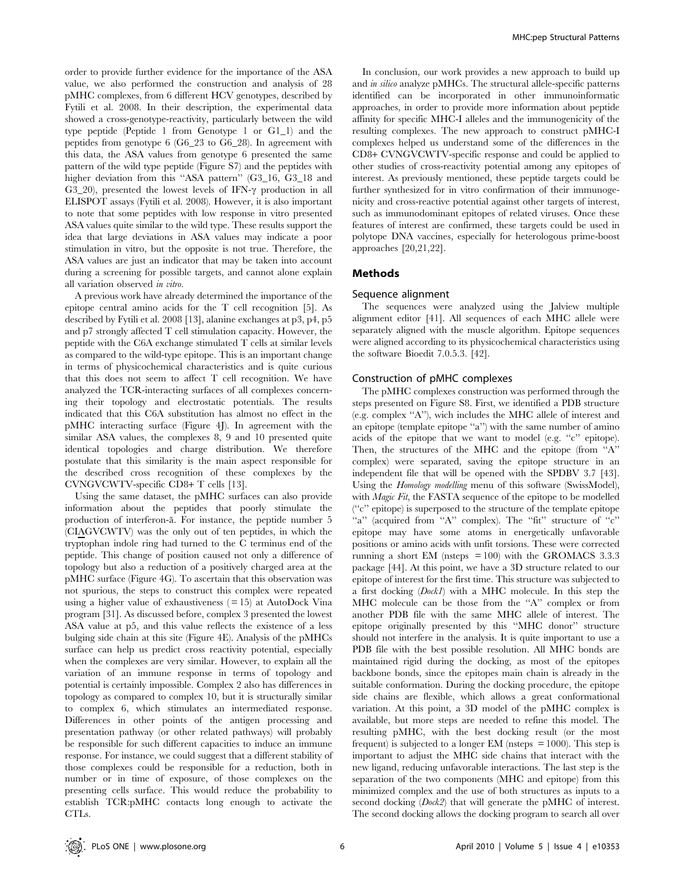order to provide further evidence for the importance of the ASA value, we also performed the construction and analysis of 28 pMHC complexes, from 6 different HCV genotypes, described by Fytili et al. 2008. In their description, the experimental data showed a cross-genotype-reactivity, particularly between the wild type peptide (Peptide 1 from Genotype 1 or G1\_1) and the peptides from genotype 6 (G6\_23 to G6\_28). In agreement with this data, the ASA values from genotype 6 presented the same pattern of the wild type peptide (Figure S7) and the peptides with higher deviation from this "ASA pattern" (G3\_16, G3\_18 and G3\_20), presented the lowest levels of IFN- $\gamma$  production in all ELISPOT assays (Fytili et al. 2008). However, it is also important to note that some peptides with low response in vitro presented ASA values quite similar to the wild type. These results support the idea that large deviations in ASA values may indicate a poor stimulation in vitro, but the opposite is not true. Therefore, the ASA values are just an indicator that may be taken into account during a screening for possible targets, and cannot alone explain all variation observed in vitro.

A previous work have already determined the importance of the epitope central amino acids for the T cell recognition [5]. As described by Fytili et al. 2008 [13], alanine exchanges at p3, p4, p5 and p7 strongly affected T cell stimulation capacity. However, the peptide with the C6A exchange stimulated T cells at similar levels as compared to the wild-type epitope. This is an important change in terms of physicochemical characteristics and is quite curious that this does not seem to affect T cell recognition. We have analyzed the TCR-interacting surfaces of all complexes concerning their topology and electrostatic potentials. The results indicated that this C6A substitution has almost no effect in the pMHC interacting surface (Figure 4J). In agreement with the similar ASA values, the complexes 8, 9 and 10 presented quite identical topologies and charge distribution. We therefore postulate that this similarity is the main aspect responsible for the described cross recognition of these complexes by the CVNGVCWTV-specific CD8+ T cells [13].

Using the same dataset, the pMHC surfaces can also provide information about the peptides that poorly stimulate the production of interferon-ã. For instance, the peptide number 5 (CIAGVCWTV) was the only out of ten peptides, in which the tryptophan indole ring had turned to the C terminus end of the peptide. This change of position caused not only a difference of topology but also a reduction of a positively charged area at the pMHC surface (Figure 4G). To ascertain that this observation was not spurious, the steps to construct this complex were repeated using a higher value of exhaustiveness  $(=15)$  at AutoDock Vina program [31]. As discussed before, complex 3 presented the lowest ASA value at p5, and this value reflects the existence of a less bulging side chain at this site (Figure 4E). Analysis of the pMHCs surface can help us predict cross reactivity potential, especially when the complexes are very similar. However, to explain all the variation of an immune response in terms of topology and potential is certainly impossible. Complex 2 also has differences in topology as compared to complex 10, but it is structurally similar to complex 6, which stimulates an intermediated response. Differences in other points of the antigen processing and presentation pathway (or other related pathways) will probably be responsible for such different capacities to induce an immune response. For instance, we could suggest that a different stability of those complexes could be responsible for a reduction, both in number or in time of exposure, of those complexes on the presenting cells surface. This would reduce the probability to establish TCR:pMHC contacts long enough to activate the CTLs.

In conclusion, our work provides a new approach to build up and in silico analyze pMHCs. The structural allele-specific patterns identified can be incorporated in other immunoinformatic approaches, in order to provide more information about peptide affinity for specific MHC-I alleles and the immunogenicity of the resulting complexes. The new approach to construct pMHC-I complexes helped us understand some of the differences in the CD8+ CVNGVCWTV-specific response and could be applied to other studies of cross-reactivity potential among any epitopes of interest. As previously mentioned, these peptide targets could be further synthesized for in vitro confirmation of their immunogenicity and cross-reactive potential against other targets of interest, such as immunodominant epitopes of related viruses. Once these features of interest are confirmed, these targets could be used in polytope DNA vaccines, especially for heterologous prime-boost approaches [20,21,22].

# Methods

#### Sequence alignment

The sequences were analyzed using the Jalview multiple alignment editor [41]. All sequences of each MHC allele were separately aligned with the muscle algorithm. Epitope sequences were aligned according to its physicochemical characteristics using the software Bioedit 7.0.5.3. [42].

#### Construction of pMHC complexes

The pMHC complexes construction was performed through the steps presented on Figure S8. First, we identified a PDB structure (e.g. complex ''A''), wich includes the MHC allele of interest and an epitope (template epitope ''a'') with the same number of amino acids of the epitope that we want to model (e.g. "c" epitope). Then, the structures of the MHC and the epitope (from ''A'' complex) were separated, saving the epitope structure in an independent file that will be opened with the SPDBV 3.7 [43]. Using the Homology modelling menu of this software (SwissModel), with *Magic Fit*, the FASTA sequence of the epitope to be modelled (''c'' epitope) is superposed to the structure of the template epitope "a" (acquired from "A" complex). The "fit" structure of " $c$ " epitope may have some atoms in energetically unfavorable positions or amino acids with unfit torsions. These were corrected running a short EM (nsteps  $= 100$ ) with the GROMACS 3.3.3 package [44]. At this point, we have a 3D structure related to our epitope of interest for the first time. This structure was subjected to a first docking (Dock1) with a MHC molecule. In this step the MHC molecule can be those from the ''A'' complex or from another PDB file with the same MHC allele of interest. The epitope originally presented by this ''MHC donor'' structure should not interfere in the analysis. It is quite important to use a PDB file with the best possible resolution. All MHC bonds are maintained rigid during the docking, as most of the epitopes backbone bonds, since the epitopes main chain is already in the suitable conformation. During the docking procedure, the epitope side chains are flexible, which allows a great conformational variation. At this point, a 3D model of the pMHC complex is available, but more steps are needed to refine this model. The resulting pMHC, with the best docking result (or the most frequent) is subjected to a longer EM (nsteps  $= 1000$ ). This step is important to adjust the MHC side chains that interact with the new ligand, reducing unfavorable interactions. The last step is the separation of the two components (MHC and epitope) from this minimized complex and the use of both structures as inputs to a second docking (Dock2) that will generate the pMHC of interest. The second docking allows the docking program to search all over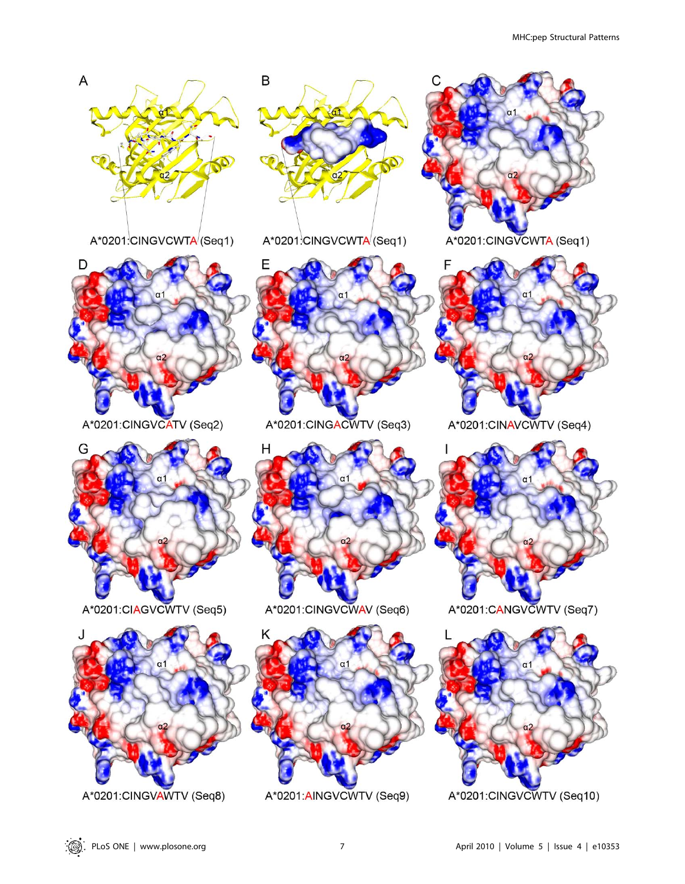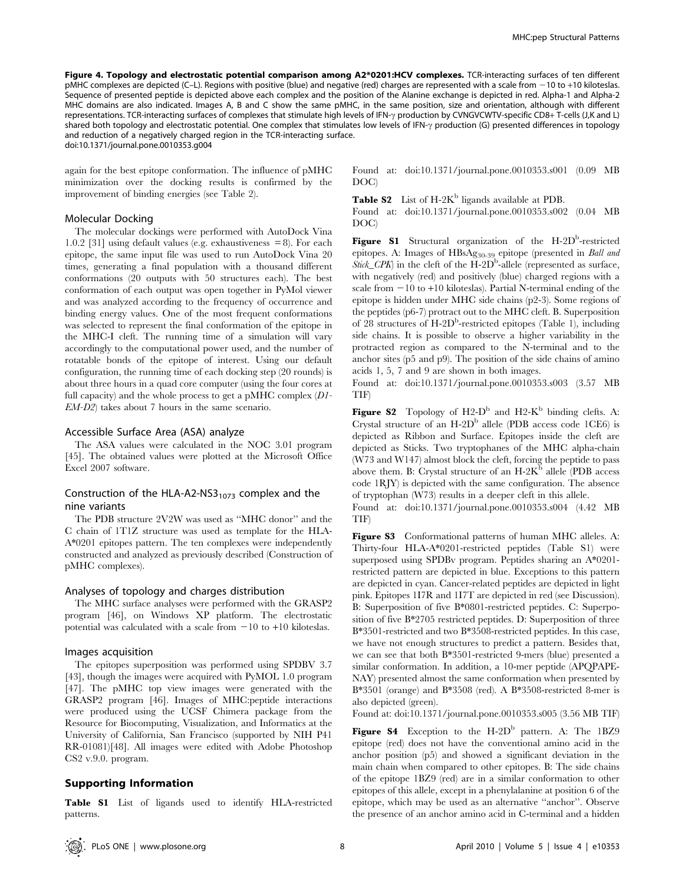Figure 4. Topology and electrostatic potential comparison among A2\*0201:HCV complexes. TCR-interacting surfaces of ten different pMHC complexes are depicted (C–L). Regions with positive (blue) and negative (red) charges are represented with a scale from -10 to +10 kiloteslas. Sequence of presented peptide is depicted above each complex and the position of the Alanine exchange is depicted in red. Alpha-1 and Alpha-2 MHC domains are also indicated. Images A, B and C show the same pMHC, in the same position, size and orientation, although with different representations. TCR-interacting surfaces of complexes that stimulate high levels of IFN- $\gamma$  production by CVNGVCWTV-specific CD8+ T-cells (J,K and L) shared both topology and electrostatic potential. One complex that stimulates low levels of IFN- $\gamma$  production (G) presented differences in topology and reduction of a negatively charged region in the TCR-interacting surface. doi:10.1371/journal.pone.0010353.g004

again for the best epitope conformation. The influence of pMHC minimization over the docking results is confirmed by the improvement of binding energies (see Table 2).

#### Molecular Docking

The molecular dockings were performed with AutoDock Vina 1.0.2 [31] using default values (e.g. exhaustiveness = 8). For each epitope, the same input file was used to run AutoDock Vina 20 times, generating a final population with a thousand different conformations (20 outputs with 50 structures each). The best conformation of each output was open together in PyMol viewer and was analyzed according to the frequency of occurrence and binding energy values. One of the most frequent conformations was selected to represent the final conformation of the epitope in the MHC-I cleft. The running time of a simulation will vary accordingly to the computational power used, and the number of rotatable bonds of the epitope of interest. Using our default configuration, the running time of each docking step (20 rounds) is about three hours in a quad core computer (using the four cores at full capacity) and the whole process to get a pMHC complex (D1- EM-D2) takes about 7 hours in the same scenario.

#### Accessible Surface Area (ASA) analyze

The ASA values were calculated in the NOC 3.01 program [45]. The obtained values were plotted at the Microsoft Office Excel 2007 software.

# Construction of the HLA-A2-NS3 $_{1073}$  complex and the nine variants

The PDB structure 2V2W was used as ''MHC donor'' and the C chain of 1T1Z structure was used as template for the HLA-A\*0201 epitopes pattern. The ten complexes were independently constructed and analyzed as previously described (Construction of pMHC complexes).

#### Analyses of topology and charges distribution

The MHC surface analyses were performed with the GRASP2 program [46], on Windows XP platform. The electrostatic potential was calculated with a scale from  $-10$  to  $+10$  kiloteslas.

#### Images acquisition

The epitopes superposition was performed using SPDBV 3.7 [43], though the images were acquired with PyMOL 1.0 program [47]. The pMHC top view images were generated with the GRASP2 program [46]. Images of MHC:peptide interactions were produced using the UCSF Chimera package from the Resource for Biocomputing, Visualization, and Informatics at the University of California, San Francisco (supported by NIH P41 RR-01081)[48]. All images were edited with Adobe Photoshop CS2 v.9.0. program.

#### Supporting Information

Table S1 List of ligands used to identify HLA-restricted patterns.

Found at: doi:10.1371/journal.pone.0010353.s001 (0.09 MB DOC)

Table S2 List of H-2 $K^b$  ligands available at PDB.

Found at: doi:10.1371/journal.pone.0010353.s002 (0.04 MB DOC)

Figure S1 Structural organization of the H-2D<sup>b</sup>-restricted epitopes. A: Images of  $HBsAg_{30-39}$  epitope (presented in *Ball and*  $\textit{Stick\_CPK}$ ) in the cleft of the H-2D<sup>b</sup>-allele (represented as surface, with negatively (red) and positively (blue) charged regions with a scale from  $-10$  to  $+10$  kiloteslas). Partial N-terminal ending of the epitope is hidden under MHC side chains (p2-3). Some regions of the peptides (p6-7) protract out to the MHC cleft. B. Superposition of 28 structures of H-2D<sup>b</sup>-restricted epitopes (Table 1), including side chains. It is possible to observe a higher variability in the protracted region as compared to the N-terminal and to the anchor sites (p5 and p9). The position of the side chains of amino acids 1, 5, 7 and 9 are shown in both images.

Found at: doi:10.1371/journal.pone.0010353.s003 (3.57 MB TIF)

**Figure S2** Topology of H2- $D^b$  and H2- $K^b$  binding clefts. A: Crystal structure of an  $H-2D^b$  allele (PDB access code 1CE6) is depicted as Ribbon and Surface. Epitopes inside the cleft are depicted as Sticks. Two tryptophanes of the MHC alpha-chain (W73 and W147) almost block the cleft, forcing the peptide to pass above them. B: Crystal structure of an  $H-2K^b$  allele (PDB access code 1RJY) is depicted with the same configuration. The absence of tryptophan (W73) results in a deeper cleft in this allele.

Found at: doi:10.1371/journal.pone.0010353.s004 (4.42 MB TIF)

Figure S3 Conformational patterns of human MHC alleles. A: Thirty-four HLA-A\*0201-restricted peptides (Table S1) were superposed using SPDBv program. Peptides sharing an A\*0201 restricted pattern are depicted in blue. Exceptions to this pattern are depicted in cyan. Cancer-related peptides are depicted in light pink. Epitopes 1I7R and 1I7T are depicted in red (see Discussion). B: Superposition of five B\*0801-restricted peptides. C: Superposition of five B\*2705 restricted peptides. D: Superposition of three B\*3501-restricted and two B\*3508-restricted peptides. In this case, we have not enough structures to predict a pattern. Besides that, we can see that both B\*3501-restricted 9-mers (blue) presented a similar conformation. In addition, a 10-mer peptide (APQPAPE-NAY) presented almost the same conformation when presented by B\*3501 (orange) and B\*3508 (red). A B\*3508-restricted 8-mer is also depicted (green).

Found at: doi:10.1371/journal.pone.0010353.s005 (3.56 MB TIF)

Figure S4 Exception to the  $H-2D^b$  pattern. A: The 1BZ9 epitope (red) does not have the conventional amino acid in the anchor position (p5) and showed a significant deviation in the main chain when compared to other epitopes. B: The side chains of the epitope 1BZ9 (red) are in a similar conformation to other epitopes of this allele, except in a phenylalanine at position 6 of the epitope, which may be used as an alternative ''anchor''. Observe the presence of an anchor amino acid in C-terminal and a hidden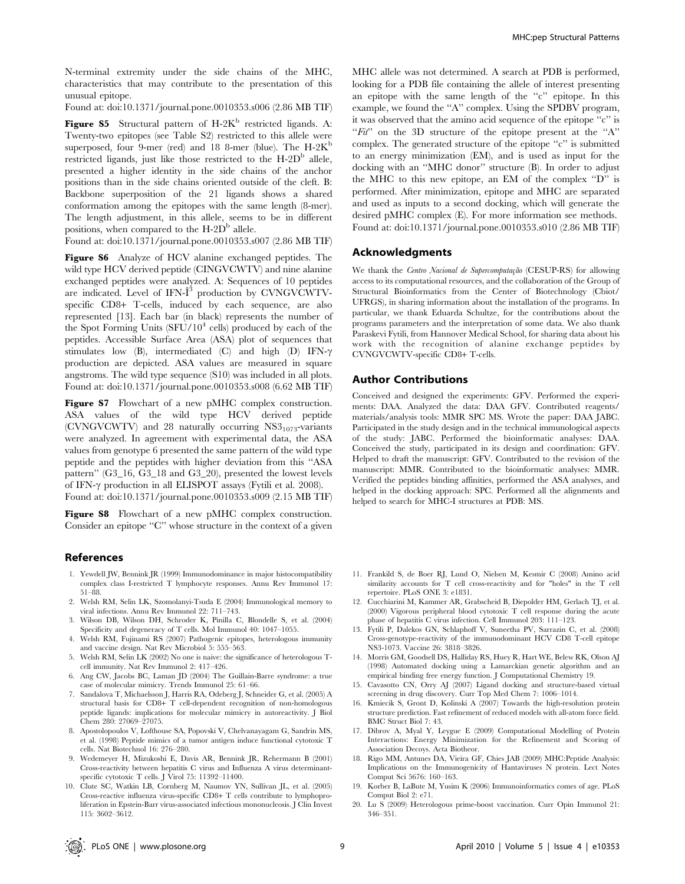N-terminal extremity under the side chains of the MHC, characteristics that may contribute to the presentation of this unusual epitope.

Found at: doi:10.1371/journal.pone.0010353.s006 (2.86 MB TIF)

**Figure S5** Structural pattern of  $H-2K^b$  restricted ligands. A: Twenty-two epitopes (see Table S2) restricted to this allele were superposed, four 9-mer (red) and 18 8-mer (blue). The  $H-2K<sup>b</sup>$ restricted ligands, just like those restricted to the  $H-2D<sup>b</sup>$  allele, presented a higher identity in the side chains of the anchor positions than in the side chains oriented outside of the cleft. B: Backbone superposition of the 21 ligands shows a shared conformation among the epitopes with the same length (8-mer). The length adjustment, in this allele, seems to be in different positions, when compared to the  $H-2D<sup>b</sup>$  allele.

Found at: doi:10.1371/journal.pone.0010353.s007 (2.86 MB TIF)

Figure S6 Analyze of HCV alanine exchanged peptides. The wild type HCV derived peptide (CINGVCWTV) and nine alanine exchanged peptides were analyzed. A: Sequences of 10 peptides are indicated. Level of IFN- $\hat{1}^3$  production by CVNGVCWTVspecific CD8+ T-cells, induced by each sequence, are also represented [13]. Each bar (in black) represents the number of the Spot Forming Units  $(SFU/10^4$  cells) produced by each of the peptides. Accessible Surface Area (ASA) plot of sequences that stimulates low  $(B)$ , intermediated  $(C)$  and high  $(D)$  IFN- $\gamma$ production are depicted. ASA values are measured in square angstroms. The wild type sequence (S10) was included in all plots. Found at: doi:10.1371/journal.pone.0010353.s008 (6.62 MB TIF)

Figure S7 Flowchart of a new pMHC complex construction. ASA values of the wild type HCV derived peptide (CVNGVCWTV) and 28 naturally occurring  $NS3_{1073}$ -variants were analyzed. In agreement with experimental data, the ASA values from genotype 6 presented the same pattern of the wild type peptide and the peptides with higher deviation from this ''ASA pattern'' (G3\_16, G3\_18 and G3\_20), presented the lowest levels of IFN- $\gamma$  production in all ELISPOT assays (Fytili et al. 2008). Found at: doi:10.1371/journal.pone.0010353.s009 (2.15 MB TIF)

Figure S8 Flowchart of a new pMHC complex construction. Consider an epitope ''C'' whose structure in the context of a given

#### References

- 1. Yewdell JW, Bennink JR (1999) Immunodominance in major histocompatibility complex class I-restricted T lymphocyte responses. Annu Rev Immunol 17: 51–88.
- 2. Welsh RM, Selin LK, Szomolanyi-Tsuda E (2004) Immunological memory to viral infections. Annu Rev Immunol 22: 711–743.
- 3. Wilson DB, Wilson DH, Schroder K, Pinilla C, Blondelle S, et al. (2004) Specificity and degeneracy of T cells. Mol Immunol 40: 1047–1055.
- 4. Welsh RM, Fujinami RS (2007) Pathogenic epitopes, heterologous immunity and vaccine design. Nat Rev Microbiol 5: 555–563.
- 5. Welsh RM, Selin LK (2002) No one is naive: the significance of heterologous Tcell immunity. Nat Rev Immunol 2: 417–426.
- 6. Ang CW, Jacobs BC, Laman JD (2004) The Guillain-Barre syndrome: a true case of molecular mimicry. Trends Immunol 25: 61–66.
- 7. Sandalova T, Michaelsson J, Harris RA, Odeberg J, Schneider G, et al. (2005) A structural basis for CD8+ T cell-dependent recognition of non-homologous peptide ligands: implications for molecular mimicry in autoreactivity. J Biol Chem 280: 27069–27075.
- 8. Apostolopoulos V, Lofthouse SA, Popovski V, Chelvanayagam G, Sandrin MS, et al. (1998) Peptide mimics of a tumor antigen induce functional cytotoxic T cells. Nat Biotechnol 16: 276–280.
- 9. Wedemeyer H, Mizukoshi E, Davis AR, Bennink JR, Rehermann B (2001) Cross-reactivity between hepatitis C virus and Influenza A virus determinantspecific cytotoxic T cells. J Virol 75: 11392–11400.
- 10. Clute SC, Watkin LB, Cornberg M, Naumov YN, Sullivan JL, et al. (2005) Cross-reactive influenza virus-specific CD8+ T cells contribute to lymphoproliferation in Epstein-Barr virus-associated infectious mononucleosis. J Clin Invest 115: 3602–3612.

MHC allele was not determined. A search at PDB is performed, looking for a PDB file containing the allele of interest presenting an epitope with the same length of the ''c'' epitope. In this example, we found the ''A'' complex. Using the SPDBV program, it was observed that the amino acid sequence of the epitope ''c'' is " $Fit$ " on the 3D structure of the epitope present at the "A" complex. The generated structure of the epitope ''c'' is submitted to an energy minimization (EM), and is used as input for the docking with an ''MHC donor'' structure (B). In order to adjust the MHC to this new epitope, an EM of the complex ''D'' is performed. After minimization, epitope and MHC are separated and used as inputs to a second docking, which will generate the desired pMHC complex (E). For more information see methods. Found at: doi:10.1371/journal.pone.0010353.s010 (2.86 MB TIF)

#### Acknowledgments

We thank the Centro Nacional de Supercomputação (CESUP-RS) for allowing access to its computational resources, and the collaboration of the Group of Structural Bioinformatics from the Center of Biotechnology (Cbiot/ UFRGS), in sharing information about the installation of the programs. In particular, we thank Eduarda Schultze, for the contributions about the programs parameters and the interpretation of some data. We also thank Paraskevi Fytili, from Hannover Medical School, for sharing data about his work with the recognition of alanine exchange peptides by CVNGVCWTV-specific CD8+ T-cells.

#### Author Contributions

Conceived and designed the experiments: GFV. Performed the experiments: DAA. Analyzed the data: DAA GFV. Contributed reagents/ materials/analysis tools: MMR SPC MS. Wrote the paper: DAA JABC. Participated in the study design and in the technical immunological aspects of the study: JABC. Performed the bioinformatic analyses: DAA. Conceived the study, participated in its design and coordination: GFV. Helped to draft the manuscript: GFV. Contributed to the revision of the manuscript: MMR. Contributed to the bioinformatic analyses: MMR. Verified the peptides binding affinities, performed the ASA analyses, and helped in the docking approach: SPC. Performed all the alignments and helped to search for MHC-I structures at PDB: MS.

- 11. Frankild S, de Boer RJ, Lund O, Nielsen M, Kesmir C (2008) Amino acid similarity accounts for T cell cross-reactivity and for "holes" in the T cell repertoire. PLoS ONE 3: e1831.
- 12. Cucchiarini M, Kammer AR, Grabscheid B, Diepolder HM, Gerlach TJ, et al. (2000) Vigorous peripheral blood cytotoxic T cell response during the acute phase of hepatitis C virus infection. Cell Immunol 203: 111–123.
- 13. Fytili P, Dalekos GN, Schlaphoff V, Suneetha PV, Sarrazin C, et al. (2008) Cross-genotype-reactivity of the immunodominant HCV CD8 T-cell epitope NS3-1073. Vaccine 26: 3818–3826.
- 14. Morris GM, Goodsell DS, Halliday RS, Huey R, Hart WE, Belew RK, Olson AJ (1998) Automated docking using a Lamarckian genetic algorithm and an empirical binding free energy function. J Computational Chemistry 19.
- 15. Cavasotto CN, Orry AJ (2007) Ligand docking and structure-based virtual screening in drug discovery. Curr Top Med Chem 7: 1006–1014.
- 16. Kmiecik S, Gront D, Kolinski A (2007) Towards the high-resolution protein structure prediction. Fast refinement of reduced models with all-atom force field. BMC Struct Biol 7: 43.
- 17. Dibrov A, Myal Y, Leygue E (2009) Computational Modelling of Protein Interactions: Energy Minimization for the Refinement and Scoring of Association Decoys. Acta Biotheor.
- 18. Rigo MM, Antunes DA, Vieira GF, Chies JAB (2009) MHC:Peptide Analysis: Implications on the Immunogenicity of Hantaviruses N protein. Lect Notes Comput Sci 5676: 160–163.
- Korber B, LaBute M, Yusim K (2006) Immunoinformatics comes of age. PLoS Comput Biol 2: e71.
- 20. Lu S (2009) Heterologous prime-boost vaccination. Curr Opin Immunol 21: 346–351.